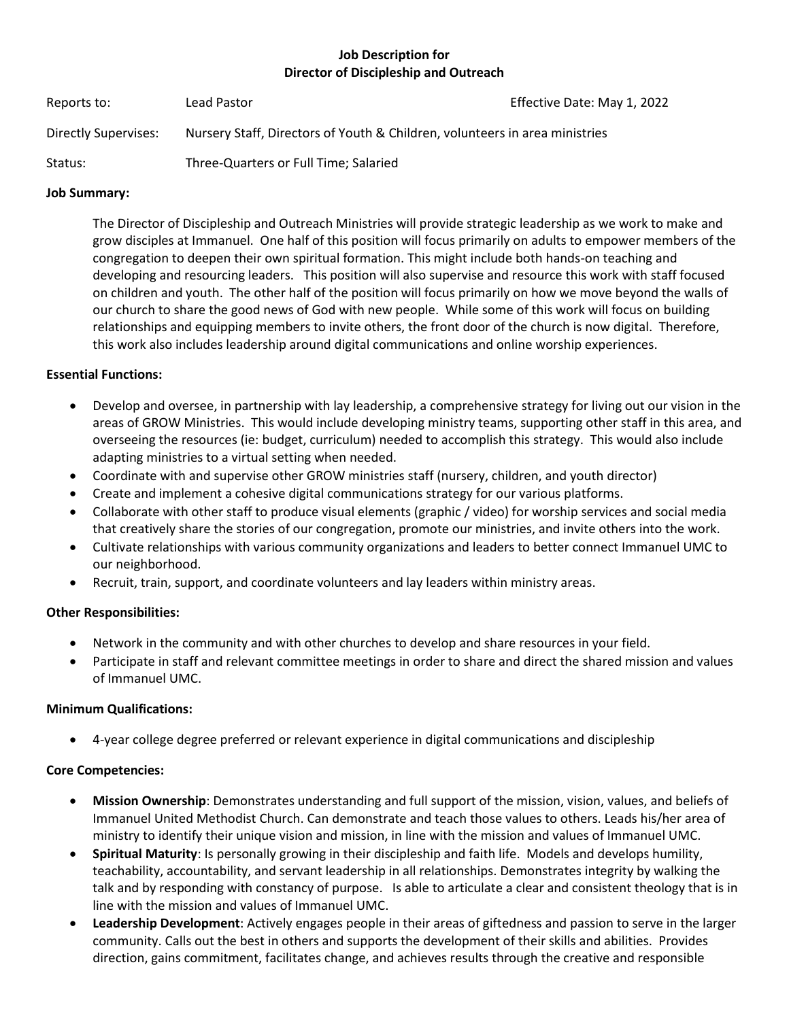# **Job Description for Director of Discipleship and Outreach**

| Reports to:          | Lead Pastor                                                                 | Effective Date: May 1, 2022 |
|----------------------|-----------------------------------------------------------------------------|-----------------------------|
| Directly Supervises: | Nursery Staff, Directors of Youth & Children, volunteers in area ministries |                             |
| Status:              | Three-Quarters or Full Time; Salaried                                       |                             |

#### **Job Summary:**

The Director of Discipleship and Outreach Ministries will provide strategic leadership as we work to make and grow disciples at Immanuel. One half of this position will focus primarily on adults to empower members of the congregation to deepen their own spiritual formation. This might include both hands-on teaching and developing and resourcing leaders. This position will also supervise and resource this work with staff focused on children and youth. The other half of the position will focus primarily on how we move beyond the walls of our church to share the good news of God with new people. While some of this work will focus on building relationships and equipping members to invite others, the front door of the church is now digital. Therefore, this work also includes leadership around digital communications and online worship experiences.

## **Essential Functions:**

- Develop and oversee, in partnership with lay leadership, a comprehensive strategy for living out our vision in the areas of GROW Ministries. This would include developing ministry teams, supporting other staff in this area, and overseeing the resources (ie: budget, curriculum) needed to accomplish this strategy. This would also include adapting ministries to a virtual setting when needed.
- Coordinate with and supervise other GROW ministries staff (nursery, children, and youth director)
- Create and implement a cohesive digital communications strategy for our various platforms.
- Collaborate with other staff to produce visual elements (graphic / video) for worship services and social media that creatively share the stories of our congregation, promote our ministries, and invite others into the work.
- Cultivate relationships with various community organizations and leaders to better connect Immanuel UMC to our neighborhood.
- Recruit, train, support, and coordinate volunteers and lay leaders within ministry areas.

### **Other Responsibilities:**

- Network in the community and with other churches to develop and share resources in your field.
- Participate in staff and relevant committee meetings in order to share and direct the shared mission and values of Immanuel UMC.

### **Minimum Qualifications:**

• 4-year college degree preferred or relevant experience in digital communications and discipleship

### **Core Competencies:**

- **Mission Ownership**: Demonstrates understanding and full support of the mission, vision, values, and beliefs of Immanuel United Methodist Church. Can demonstrate and teach those values to others. Leads his/her area of ministry to identify their unique vision and mission, in line with the mission and values of Immanuel UMC.
- **Spiritual Maturity**: Is personally growing in their discipleship and faith life. Models and develops humility, teachability, accountability, and servant leadership in all relationships. Demonstrates integrity by walking the talk and by responding with constancy of purpose. Is able to articulate a clear and consistent theology that is in line with the mission and values of Immanuel UMC.
- **Leadership Development**: Actively engages people in their areas of giftedness and passion to serve in the larger community. Calls out the best in others and supports the development of their skills and abilities. Provides direction, gains commitment, facilitates change, and achieves results through the creative and responsible